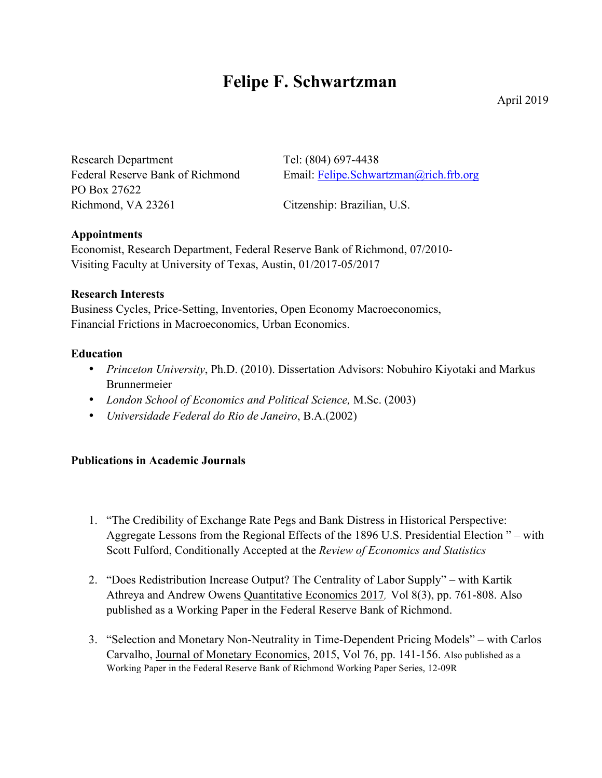# **Felipe F. Schwartzman**

Research Department Tel: (804) 697-4438 PO Box 27622 Richmond, VA 23261 Citzenship: Brazilian, U.S.

Federal Reserve Bank of Richmond Email: Felipe.Schwartzman@rich.frb.org

## **Appointments**

Economist, Research Department, Federal Reserve Bank of Richmond, 07/2010- Visiting Faculty at University of Texas, Austin, 01/2017-05/2017

## **Research Interests**

Business Cycles, Price-Setting, Inventories, Open Economy Macroeconomics, Financial Frictions in Macroeconomics, Urban Economics.

# **Education**

- *Princeton University*, Ph.D. (2010). Dissertation Advisors: Nobuhiro Kiyotaki and Markus Brunnermeier
- *London School of Economics and Political Science,* M.Sc. (2003)
- *Universidade Federal do Rio de Janeiro*, B.A.(2002)

# **Publications in Academic Journals**

- 1. "The Credibility of Exchange Rate Pegs and Bank Distress in Historical Perspective: Aggregate Lessons from the Regional Effects of the 1896 U.S. Presidential Election " – with Scott Fulford, Conditionally Accepted at the *Review of Economics and Statistics*
- 2. "Does Redistribution Increase Output? The Centrality of Labor Supply" with Kartik Athreya and Andrew Owens Quantitative Economics 2017, Vol 8(3), pp. 761-808. Also published as a Working Paper in the Federal Reserve Bank of Richmond.
- 3. "Selection and Monetary Non-Neutrality in Time-Dependent Pricing Models" with Carlos Carvalho, Journal of Monetary Economics, 2015, Vol 76, pp. 141-156. Also published as a Working Paper in the Federal Reserve Bank of Richmond Working Paper Series, 12-09R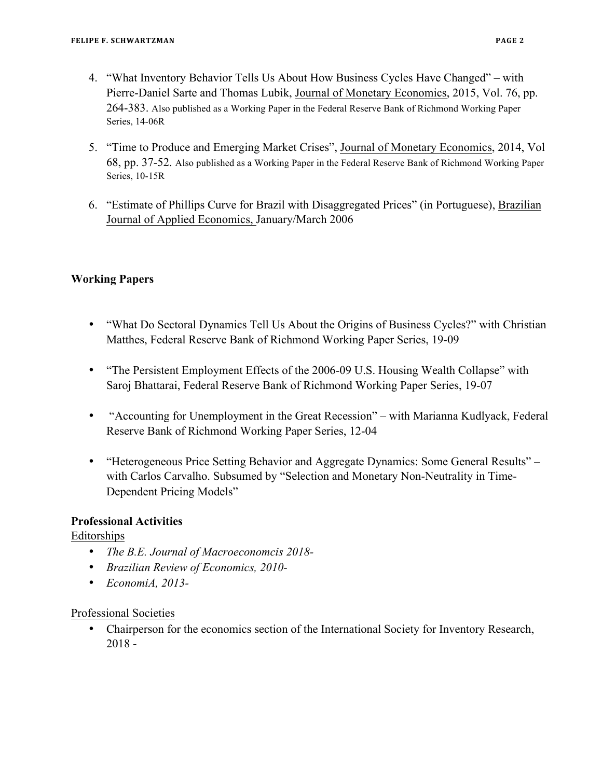- 4. "What Inventory Behavior Tells Us About How Business Cycles Have Changed" with Pierre-Daniel Sarte and Thomas Lubik, Journal of Monetary Economics, 2015, Vol. 76, pp. 264-383. Also published as a Working Paper in the Federal Reserve Bank of Richmond Working Paper Series, 14-06R
- 5. "Time to Produce and Emerging Market Crises", Journal of Monetary Economics, 2014, Vol 68, pp. 37-52. Also published as a Working Paper in the Federal Reserve Bank of Richmond Working Paper Series, 10-15R
- 6. "Estimate of Phillips Curve for Brazil with Disaggregated Prices" (in Portuguese), Brazilian Journal of Applied Economics, January/March 2006

## **Working Papers**

- "What Do Sectoral Dynamics Tell Us About the Origins of Business Cycles?" with Christian Matthes, Federal Reserve Bank of Richmond Working Paper Series, 19-09
- "The Persistent Employment Effects of the 2006-09 U.S. Housing Wealth Collapse" with Saroj Bhattarai, Federal Reserve Bank of Richmond Working Paper Series, 19-07
- "Accounting for Unemployment in the Great Recession" with Marianna Kudlyack, Federal Reserve Bank of Richmond Working Paper Series, 12-04
- "Heterogeneous Price Setting Behavior and Aggregate Dynamics: Some General Results" with Carlos Carvalho. Subsumed by "Selection and Monetary Non-Neutrality in Time-Dependent Pricing Models"

## **Professional Activities**

Editorships

- *The B.E. Journal of Macroeconomcis 2018-*
- *Brazilian Review of Economics, 2010-*
- *EconomiA, 2013-*

#### Professional Societies

• Chairperson for the economics section of the International Society for Inventory Research, 2018 -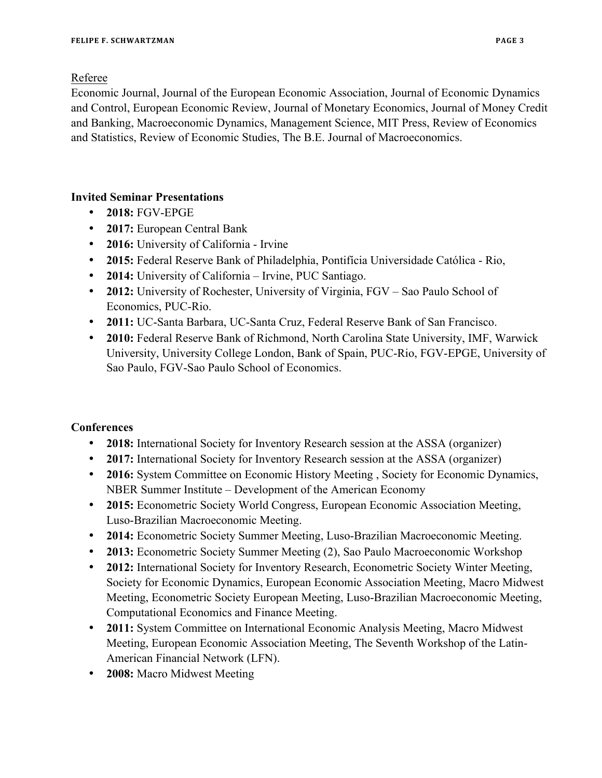Referee

Economic Journal, Journal of the European Economic Association, Journal of Economic Dynamics and Control, European Economic Review, Journal of Monetary Economics, Journal of Money Credit and Banking, Macroeconomic Dynamics, Management Science, MIT Press, Review of Economics and Statistics, Review of Economic Studies, The B.E. Journal of Macroeconomics.

## **Invited Seminar Presentations**

- **2018:** FGV-EPGE
- **2017:** European Central Bank
- **2016:** University of California Irvine
- **2015:** Federal Reserve Bank of Philadelphia, Pontifícia Universidade Católica Rio,
- **2014:** University of California Irvine, PUC Santiago.
- **2012:** University of Rochester, University of Virginia, FGV Sao Paulo School of Economics, PUC-Rio.
- **2011:** UC-Santa Barbara, UC-Santa Cruz, Federal Reserve Bank of San Francisco.
- **2010:** Federal Reserve Bank of Richmond, North Carolina State University, IMF, Warwick University, University College London, Bank of Spain, PUC-Rio, FGV-EPGE, University of Sao Paulo, FGV-Sao Paulo School of Economics.

# **Conferences**

- **2018:** International Society for Inventory Research session at the ASSA (organizer)
- **2017:** International Society for Inventory Research session at the ASSA (organizer)
- **2016:** System Committee on Economic History Meeting, Society for Economic Dynamics, NBER Summer Institute – Development of the American Economy
- **2015:** Econometric Society World Congress, European Economic Association Meeting, Luso-Brazilian Macroeconomic Meeting.
- **2014:** Econometric Society Summer Meeting, Luso-Brazilian Macroeconomic Meeting.
- **2013:** Econometric Society Summer Meeting (2), Sao Paulo Macroeconomic Workshop
- **2012:** International Society for Inventory Research, Econometric Society Winter Meeting, Society for Economic Dynamics, European Economic Association Meeting, Macro Midwest Meeting, Econometric Society European Meeting, Luso-Brazilian Macroeconomic Meeting, Computational Economics and Finance Meeting.
- **2011:** System Committee on International Economic Analysis Meeting, Macro Midwest Meeting, European Economic Association Meeting, The Seventh Workshop of the Latin-American Financial Network (LFN).
- **2008:** Macro Midwest Meeting